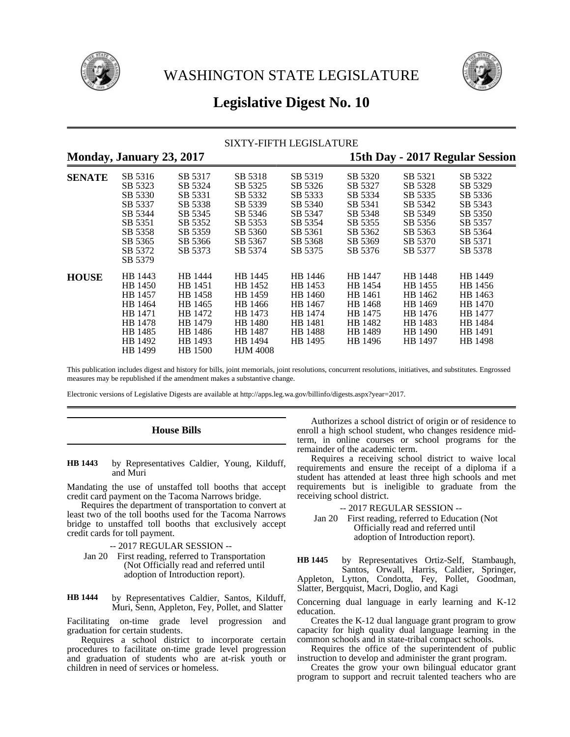



# **Legislative Digest No. 10**

### SIXTY-FIFTH LEGISLATURE

**Monday, January 23, 2017 15th Day - 2017 Regular Session**

| <b>SENATE</b> | SB 5316<br>SB 5323<br>SB 5330<br>SB 5337<br>SB 5344<br>SB 5351<br>SB 5358<br>SB 5365<br>SB 5372            | SB 5317<br>SB 5324<br>SB 5331<br>SB 5338<br>SB 5345<br>SB 5352<br>SB 5359<br>SB 5366<br>SB 5373 | SB 5318<br>SB 5325<br>SB 5332<br>SB 5339<br>SB 5346<br>SB 5353<br>SB 5360<br>SB 5367<br>SB 5374         | SB 5319<br>SB 5326<br>SB 5333<br>SB 5340<br>SB 5347<br>SB 5354<br>SB 5361<br>SB 5368<br>SB 5375 | SB 5320<br>SB 5327<br>SB 5334<br>SB 5341<br>SB 5348<br>SB 5355<br>SB 5362<br>SB 5369<br>SB 5376 | SB 5321<br>SB 5328<br>SB 5335<br>SB 5342<br>SB 5349<br>SB 5356<br>SB 5363<br>SB 5370<br>SB 5377 | SB 5322<br>SB 5329<br>SB 5336<br>SB 5343<br>SB 5350<br>SB 5357<br>SB 5364<br>SB 5371<br>SB 5378 |
|---------------|------------------------------------------------------------------------------------------------------------|-------------------------------------------------------------------------------------------------|---------------------------------------------------------------------------------------------------------|-------------------------------------------------------------------------------------------------|-------------------------------------------------------------------------------------------------|-------------------------------------------------------------------------------------------------|-------------------------------------------------------------------------------------------------|
| <b>HOUSE</b>  | SB 5379<br>HB 1443<br>HB 1450<br>HB 1457<br>HB 1464<br>HB 1471<br>HB 1478<br>HB 1485<br>HB 1492<br>HB 1499 | HB 1444<br>HB 1451<br>HB 1458<br>HB 1465<br>HB 1472<br>HB 1479<br>HB 1486<br>HB 1493<br>HB 1500 | HB 1445<br>HB 1452<br>HB 1459<br>HB 1466<br>HB 1473<br>HB 1480<br>HB 1487<br>HB 1494<br><b>HJM 4008</b> | HB 1446<br>HB 1453<br>HB 1460<br>HB 1467<br>HB 1474<br>HB 1481<br>HB 1488<br>HB 1495            | HB 1447<br>HB 1454<br>HB 1461<br>HB 1468<br>HB 1475<br>HB 1482<br>HB 1489<br>HB 1496            | HB 1448<br>HB 1455<br>HB 1462<br>HB 1469<br>HB 1476<br>HB 1483<br>HB 1490<br>HB 1497            | HB 1449<br>HB 1456<br>HB 1463<br>HB 1470<br>HB 1477<br>HB 1484<br>HB 1491<br>HB 1498            |

This publication includes digest and history for bills, joint memorials, joint resolutions, concurrent resolutions, initiatives, and substitutes. Engrossed measures may be republished if the amendment makes a substantive change.

Electronic versions of Legislative Digests are available at http://apps.leg.wa.gov/billinfo/digests.aspx?year=2017.

## **House Bills**

by Representatives Caldier, Young, Kilduff, and Muri **HB 1443**

Mandating the use of unstaffed toll booths that accept credit card payment on the Tacoma Narrows bridge.

Requires the department of transportation to convert at least two of the toll booths used for the Tacoma Narrows bridge to unstaffed toll booths that exclusively accept credit cards for toll payment.

- -- 2017 REGULAR SESSION --
- Jan 20 First reading, referred to Transportation (Not Officially read and referred until adoption of Introduction report).

by Representatives Caldier, Santos, Kilduff, Muri, Senn, Appleton, Fey, Pollet, and Slatter **HB 1444**

Facilitating on-time grade level progression and graduation for certain students.

Requires a school district to incorporate certain procedures to facilitate on-time grade level progression and graduation of students who are at-risk youth or children in need of services or homeless.

Authorizes a school district of origin or of residence to enroll a high school student, who changes residence midterm, in online courses or school programs for the remainder of the academic term.

Requires a receiving school district to waive local requirements and ensure the receipt of a diploma if a student has attended at least three high schools and met requirements but is ineligible to graduate from the receiving school district.

-- 2017 REGULAR SESSION --

Jan 20 First reading, referred to Education (Not Officially read and referred until adoption of Introduction report).

by Representatives Ortiz-Self, Stambaugh, Santos, Orwall, Harris, Caldier, Springer, Appleton, Lytton, Condotta, Fey, Pollet, Goodman, Slatter, Bergquist, Macri, Doglio, and Kagi **HB 1445**

Concerning dual language in early learning and K-12 education.

Creates the K-12 dual language grant program to grow capacity for high quality dual language learning in the common schools and in state-tribal compact schools.

Requires the office of the superintendent of public instruction to develop and administer the grant program.

Creates the grow your own bilingual educator grant program to support and recruit talented teachers who are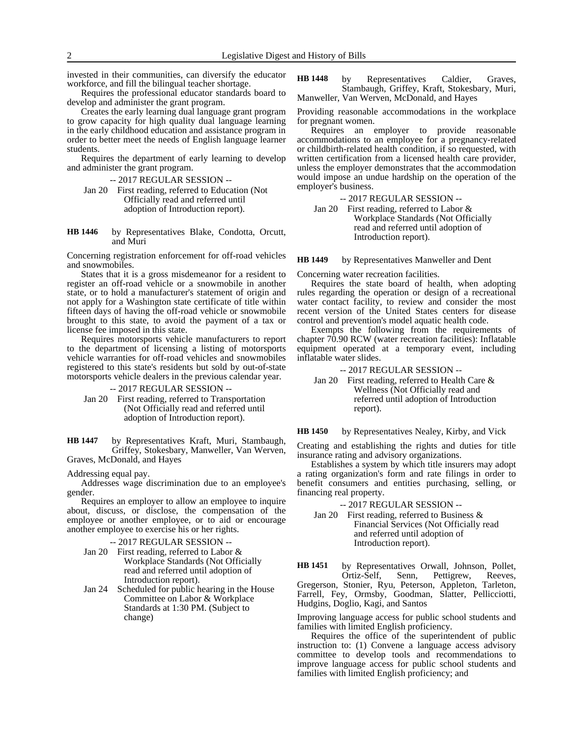invested in their communities, can diversify the educator workforce, and fill the bilingual teacher shortage.

Requires the professional educator standards board to develop and administer the grant program.

Creates the early learning dual language grant program to grow capacity for high quality dual language learning in the early childhood education and assistance program in order to better meet the needs of English language learner students.

Requires the department of early learning to develop and administer the grant program.

-- 2017 REGULAR SESSION --

- Jan 20 First reading, referred to Education (Not Officially read and referred until adoption of Introduction report).
- by Representatives Blake, Condotta, Orcutt, and Muri **HB 1446**

Concerning registration enforcement for off-road vehicles and snowmobiles.

States that it is a gross misdemeanor for a resident to register an off-road vehicle or a snowmobile in another state, or to hold a manufacturer's statement of origin and not apply for a Washington state certificate of title within fifteen days of having the off-road vehicle or snowmobile brought to this state, to avoid the payment of a tax or license fee imposed in this state.

Requires motorsports vehicle manufacturers to report to the department of licensing a listing of motorsports vehicle warranties for off-road vehicles and snowmobiles registered to this state's residents but sold by out-of-state motorsports vehicle dealers in the previous calendar year.

-- 2017 REGULAR SESSION --

Jan 20 First reading, referred to Transportation (Not Officially read and referred until adoption of Introduction report).

by Representatives Kraft, Muri, Stambaugh, Griffey, Stokesbary, Manweller, Van Werven, Graves, McDonald, and Hayes **HB 1447**

Addressing equal pay.

Addresses wage discrimination due to an employee's gender.

Requires an employer to allow an employee to inquire about, discuss, or disclose, the compensation of the employee or another employee, or to aid or encourage another employee to exercise his or her rights.

-- 2017 REGULAR SESSION --

- Jan 20 First reading, referred to Labor & Workplace Standards (Not Officially read and referred until adoption of Introduction report).
- Jan 24 Scheduled for public hearing in the House Committee on Labor & Workplace Standards at 1:30 PM. (Subject to change)

by Representatives Caldier, Graves, Stambaugh, Griffey, Kraft, Stokesbary, Muri, Manweller, Van Werven, McDonald, and Hayes **HB 1448**

Providing reasonable accommodations in the workplace for pregnant women.

Requires an employer to provide reasonable accommodations to an employee for a pregnancy-related or childbirth-related health condition, if so requested, with written certification from a licensed health care provider, unless the employer demonstrates that the accommodation would impose an undue hardship on the operation of the employer's business.

-- 2017 REGULAR SESSION --

Jan 20 First reading, referred to Labor & Workplace Standards (Not Officially read and referred until adoption of Introduction report).

by Representatives Manweller and Dent **HB 1449**

Concerning water recreation facilities.

Requires the state board of health, when adopting rules regarding the operation or design of a recreational water contact facility, to review and consider the most recent version of the United States centers for disease control and prevention's model aquatic health code.

Exempts the following from the requirements of chapter 70.90 RCW (water recreation facilities): Inflatable equipment operated at a temporary event, including inflatable water slides.

-- 2017 REGULAR SESSION --

Jan 20 First reading, referred to Health Care & Wellness (Not Officially read and referred until adoption of Introduction report).

by Representatives Nealey, Kirby, and Vick **HB 1450**

Creating and establishing the rights and duties for title insurance rating and advisory organizations.

Establishes a system by which title insurers may adopt a rating organization's form and rate filings in order to benefit consumers and entities purchasing, selling, or financing real property.

-- 2017 REGULAR SESSION --

Jan 20 First reading, referred to Business & Financial Services (Not Officially read and referred until adoption of Introduction report).

by Representatives Orwall, Johnson, Pollet, Ortiz-Self, Senn, Pettigrew, Reeves, Ortiz-Self, Senn, Pettigrew, Gregerson, Stonier, Ryu, Peterson, Appleton, Tarleton, Farrell, Fey, Ormsby, Goodman, Slatter, Pellicciotti, Hudgins, Doglio, Kagi, and Santos **HB 1451**

Improving language access for public school students and families with limited English proficiency.

Requires the office of the superintendent of public instruction to: (1) Convene a language access advisory committee to develop tools and recommendations to improve language access for public school students and families with limited English proficiency; and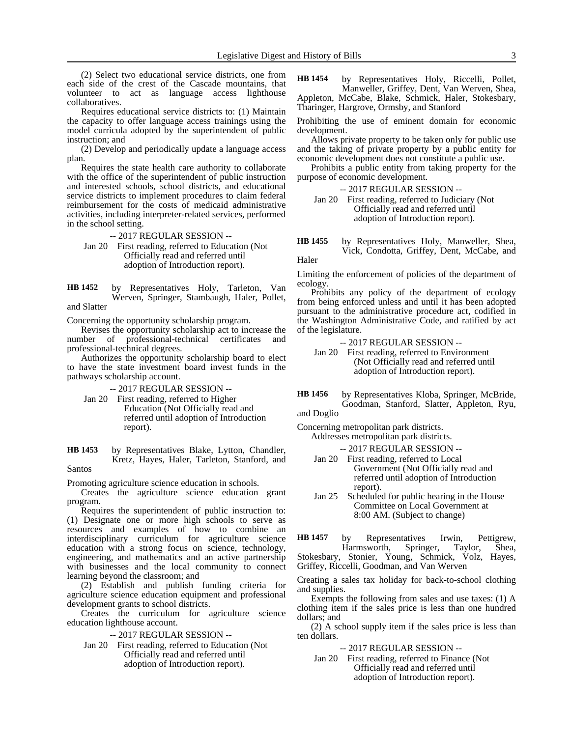(2) Select two educational service districts, one from each side of the crest of the Cascade mountains, that volunteer to act as language access lighthouse collaboratives.

Requires educational service districts to: (1) Maintain the capacity to offer language access trainings using the model curricula adopted by the superintendent of public instruction; and

(2) Develop and periodically update a language access plan.

Requires the state health care authority to collaborate with the office of the superintendent of public instruction and interested schools, school districts, and educational service districts to implement procedures to claim federal reimbursement for the costs of medicaid administrative activities, including interpreter-related services, performed in the school setting.

-- 2017 REGULAR SESSION --

Jan 20 First reading, referred to Education (Not Officially read and referred until adoption of Introduction report).

by Representatives Holy, Tarleton, Van Werven, Springer, Stambaugh, Haler, Pollet, and Slatter **HB 1452**

Concerning the opportunity scholarship program.

Revises the opportunity scholarship act to increase the number of professional-technical certificates and professional-technical degrees.

Authorizes the opportunity scholarship board to elect to have the state investment board invest funds in the pathways scholarship account.

-- 2017 REGULAR SESSION --

- Jan 20 First reading, referred to Higher Education (Not Officially read and referred until adoption of Introduction report).
- by Representatives Blake, Lytton, Chandler, Kretz, Hayes, Haler, Tarleton, Stanford, and **HB 1453**

Santos

Promoting agriculture science education in schools.

Creates the agriculture science education grant program.

Requires the superintendent of public instruction to: (1) Designate one or more high schools to serve as resources and examples of how to combine an interdisciplinary curriculum for agriculture science education with a strong focus on science, technology, engineering, and mathematics and an active partnership with businesses and the local community to connect learning beyond the classroom; and

(2) Establish and publish funding criteria for agriculture science education equipment and professional development grants to school districts.

Creates the curriculum for agriculture science education lighthouse account.

-- 2017 REGULAR SESSION --

Jan 20 First reading, referred to Education (Not Officially read and referred until adoption of Introduction report).

by Representatives Holy, Riccelli, Pollet, Manweller, Griffey, Dent, Van Werven, Shea, **HB 1454**

Appleton, McCabe, Blake, Schmick, Haler, Stokesbary, Tharinger, Hargrove, Ormsby, and Stanford

Prohibiting the use of eminent domain for economic development.

Allows private property to be taken only for public use and the taking of private property by a public entity for economic development does not constitute a public use.

Prohibits a public entity from taking property for the purpose of economic development.

-- 2017 REGULAR SESSION -- Jan 20 First reading, referred to Judiciary (Not Officially read and referred until adoption of Introduction report).

by Representatives Holy, Manweller, Shea, Vick, Condotta, Griffey, Dent, McCabe, and **HB 1455**

Haler

Limiting the enforcement of policies of the department of ecology.

Prohibits any policy of the department of ecology from being enforced unless and until it has been adopted pursuant to the administrative procedure act, codified in the Washington Administrative Code, and ratified by act of the legislature.

-- 2017 REGULAR SESSION --

Jan 20 First reading, referred to Environment (Not Officially read and referred until adoption of Introduction report).

by Representatives Kloba, Springer, McBride, Goodman, Stanford, Slatter, Appleton, Ryu, **HB 1456**

and Doglio

Concerning metropolitan park districts.

Addresses metropolitan park districts.

-- 2017 REGULAR SESSION --

- Jan 20 First reading, referred to Local Government (Not Officially read and referred until adoption of Introduction report).
- Jan 25 Scheduled for public hearing in the House Committee on Local Government at 8:00 AM. (Subject to change)

by Representatives Irwin, Pettigrew,<br>Harmsworth, Springer, Taylor, Shea, Harmsworth, Springer, Taylor, Shea, Stokesbary, Stonier, Young, Schmick, Volz, Hayes, Griffey, Riccelli, Goodman, and Van Werven **HB 1457**

Creating a sales tax holiday for back-to-school clothing and supplies.

Exempts the following from sales and use taxes: (1) A clothing item if the sales price is less than one hundred dollars; and

(2) A school supply item if the sales price is less than ten dollars.

-- 2017 REGULAR SESSION --

Jan 20 First reading, referred to Finance (Not Officially read and referred until adoption of Introduction report).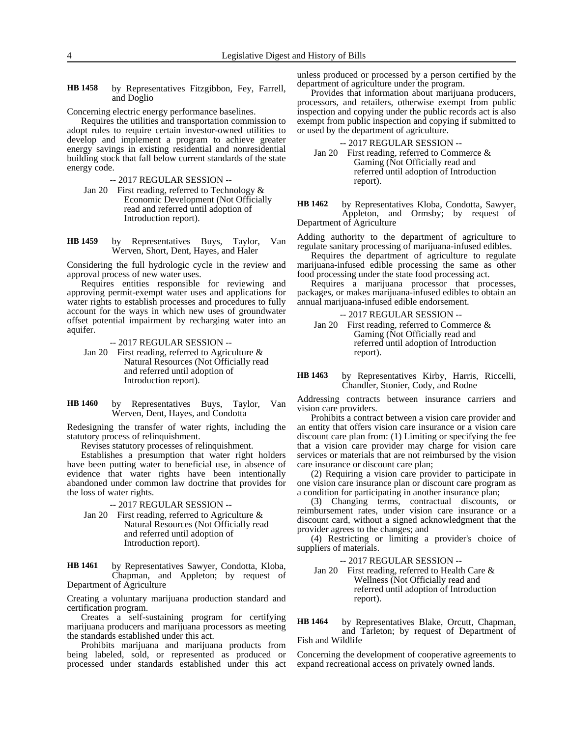by Representatives Fitzgibbon, Fey, Farrell, and Doglio **HB 1458**

Concerning electric energy performance baselines.

Requires the utilities and transportation commission to adopt rules to require certain investor-owned utilities to develop and implement a program to achieve greater energy savings in existing residential and nonresidential building stock that fall below current standards of the state energy code.

-- 2017 REGULAR SESSION --

- Jan 20 First reading, referred to Technology & Economic Development (Not Officially read and referred until adoption of Introduction report).
- by Representatives Buys, Taylor, Van Werven, Short, Dent, Hayes, and Haler **HB 1459**

Considering the full hydrologic cycle in the review and approval process of new water uses.

Requires entities responsible for reviewing and approving permit-exempt water uses and applications for water rights to establish processes and procedures to fully account for the ways in which new uses of groundwater offset potential impairment by recharging water into an aquifer.

-- 2017 REGULAR SESSION --

- Jan 20 First reading, referred to Agriculture & Natural Resources (Not Officially read and referred until adoption of Introduction report).
- by Representatives Buys, Taylor, Van Werven, Dent, Hayes, and Condotta **HB 1460**

Redesigning the transfer of water rights, including the statutory process of relinquishment.

Revises statutory processes of relinquishment.

Establishes a presumption that water right holders have been putting water to beneficial use, in absence of evidence that water rights have been intentionally abandoned under common law doctrine that provides for the loss of water rights.

-- 2017 REGULAR SESSION --

Jan 20 First reading, referred to Agriculture & Natural Resources (Not Officially read and referred until adoption of Introduction report).

by Representatives Sawyer, Condotta, Kloba, Chapman, and Appleton; by request of Department of Agriculture **HB 1461**

Creating a voluntary marijuana production standard and certification program.

Creates a self-sustaining program for certifying marijuana producers and marijuana processors as meeting the standards established under this act.

Prohibits marijuana and marijuana products from being labeled, sold, or represented as produced or processed under standards established under this act

unless produced or processed by a person certified by the department of agriculture under the program.

Provides that information about marijuana producers, processors, and retailers, otherwise exempt from public inspection and copying under the public records act is also exempt from public inspection and copying if submitted to or used by the department of agriculture.

-- 2017 REGULAR SESSION --

Jan 20 First reading, referred to Commerce & Gaming (Not Officially read and referred until adoption of Introduction report).

by Representatives Kloba, Condotta, Sawyer, Appleton, and Ormsby; by request of Department of Agriculture **HB 1462**

Adding authority to the department of agriculture to regulate sanitary processing of marijuana-infused edibles.

Requires the department of agriculture to regulate marijuana-infused edible processing the same as other food processing under the state food processing act.

Requires a marijuana processor that processes, packages, or makes marijuana-infused edibles to obtain an annual marijuana-infused edible endorsement.

- -- 2017 REGULAR SESSION --
- Jan 20 First reading, referred to Commerce & Gaming (Not Officially read and referred until adoption of Introduction report).

by Representatives Kirby, Harris, Riccelli, Chandler, Stonier, Cody, and Rodne **HB 1463**

Addressing contracts between insurance carriers and vision care providers.

Prohibits a contract between a vision care provider and an entity that offers vision care insurance or a vision care discount care plan from: (1) Limiting or specifying the fee that a vision care provider may charge for vision care services or materials that are not reimbursed by the vision care insurance or discount care plan;

(2) Requiring a vision care provider to participate in one vision care insurance plan or discount care program as a condition for participating in another insurance plan;

(3) Changing terms, contractual discounts, or reimbursement rates, under vision care insurance or a discount card, without a signed acknowledgment that the provider agrees to the changes; and

(4) Restricting or limiting a provider's choice of suppliers of materials.

### -- 2017 REGULAR SESSION --

Jan 20 First reading, referred to Health Care & Wellness (Not Officially read and referred until adoption of Introduction report).

by Representatives Blake, Orcutt, Chapman, and Tarleton; by request of Department of Fish and Wildlife **HB 1464**

Concerning the development of cooperative agreements to expand recreational access on privately owned lands.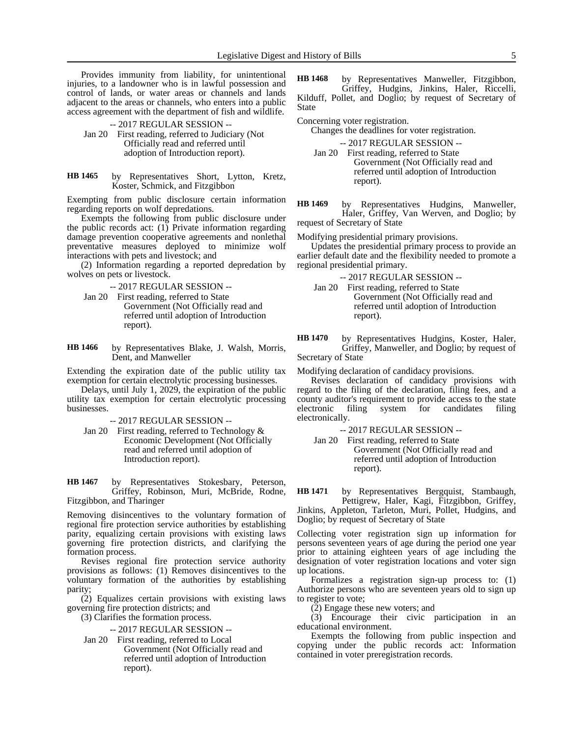Provides immunity from liability, for unintentional injuries, to a landowner who is in lawful possession and control of lands, or water areas or channels and lands adjacent to the areas or channels, who enters into a public access agreement with the department of fish and wildlife.

-- 2017 REGULAR SESSION --

- Jan 20 First reading, referred to Judiciary (Not Officially read and referred until adoption of Introduction report).
- by Representatives Short, Lytton, Kretz, Koster, Schmick, and Fitzgibbon **HB 1465**

Exempting from public disclosure certain information regarding reports on wolf depredations.

Exempts the following from public disclosure under the public records act: (1) Private information regarding damage prevention cooperative agreements and nonlethal preventative measures deployed to minimize wolf interactions with pets and livestock; and

(2) Information regarding a reported depredation by wolves on pets or livestock.

-- 2017 REGULAR SESSION --

- Jan 20 First reading, referred to State Government (Not Officially read and referred until adoption of Introduction report).
- by Representatives Blake, J. Walsh, Morris, Dent, and Manweller **HB 1466**

Extending the expiration date of the public utility tax exemption for certain electrolytic processing businesses.

Delays, until July 1, 2029, the expiration of the public utility tax exemption for certain electrolytic processing businesses.

-- 2017 REGULAR SESSION --

Jan 20 First reading, referred to Technology  $\&$ Economic Development (Not Officially read and referred until adoption of Introduction report).

by Representatives Stokesbary, Peterson, Griffey, Robinson, Muri, McBride, Rodne, Fitzgibbon, and Tharinger **HB 1467**

Removing disincentives to the voluntary formation of regional fire protection service authorities by establishing parity, equalizing certain provisions with existing laws governing fire protection districts, and clarifying the formation process.

Revises regional fire protection service authority provisions as follows: (1) Removes disincentives to the voluntary formation of the authorities by establishing parity;

(2) Equalizes certain provisions with existing laws governing fire protection districts; and

(3) Clarifies the formation process.

-- 2017 REGULAR SESSION --

Jan 20 First reading, referred to Local Government (Not Officially read and referred until adoption of Introduction report).

by Representatives Manweller, Fitzgibbon, Griffey, Hudgins, Jinkins, Haler, Riccelli, Kilduff, Pollet, and Doglio; by request of Secretary of State **HB 1468**

Concerning voter registration.

Changes the deadlines for voter registration.

-- 2017 REGULAR SESSION -- Jan 20 First reading, referred to State Government (Not Officially read and referred until adoption of Introduction report).

by Representatives Hudgins, Manweller, Haler, Griffey, Van Werven, and Doglio; by request of Secretary of State **HB 1469**

Modifying presidential primary provisions.

Updates the presidential primary process to provide an earlier default date and the flexibility needed to promote a regional presidential primary.

-- 2017 REGULAR SESSION --

- Jan 20 First reading, referred to State Government (Not Officially read and referred until adoption of Introduction report).
- by Representatives Hudgins, Koster, Haler, Griffey, Manweller, and Doglio; by request of Secretary of State **HB 1470**

Modifying declaration of candidacy provisions.

Revises declaration of candidacy provisions with regard to the filing of the declaration, filing fees, and a county auditor's requirement to provide access to the state electronic filing system for candidates filing electronically.

-- 2017 REGULAR SESSION --

Jan 20 First reading, referred to State Government (Not Officially read and referred until adoption of Introduction report).

by Representatives Bergquist, Stambaugh, Pettigrew, Haler, Kagi, Fitzgibbon, Griffey, Jinkins, Appleton, Tarleton, Muri, Pollet, Hudgins, and **HB 1471**

Doglio; by request of Secretary of State

Collecting voter registration sign up information for persons seventeen years of age during the period one year prior to attaining eighteen years of age including the designation of voter registration locations and voter sign up locations.

Formalizes a registration sign-up process to: (1) Authorize persons who are seventeen years old to sign up to register to vote;

(2) Engage these new voters; and

(3) Encourage their civic participation in an educational environment.

Exempts the following from public inspection and copying under the public records act: Information contained in voter preregistration records.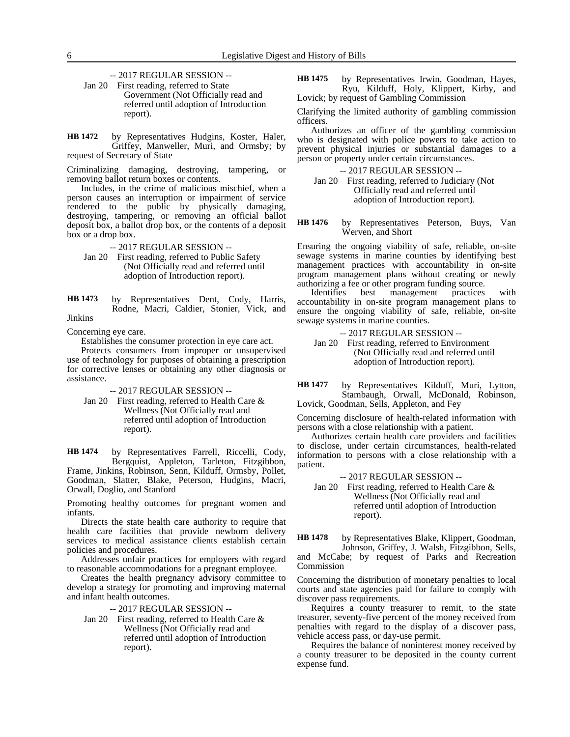-- 2017 REGULAR SESSION --

Jan 20 First reading, referred to State Government (Not Officially read and referred until adoption of Introduction report).

by Representatives Hudgins, Koster, Haler, Griffey, Manweller, Muri, and Ormsby; by request of Secretary of State **HB 1472**

Criminalizing damaging, destroying, tampering, or removing ballot return boxes or contents.

Includes, in the crime of malicious mischief, when a person causes an interruption or impairment of service rendered to the public by physically damaging, destroying, tampering, or removing an official ballot deposit box, a ballot drop box, or the contents of a deposit box or a drop box.

-- 2017 REGULAR SESSION --

Jan 20 First reading, referred to Public Safety (Not Officially read and referred until adoption of Introduction report).

by Representatives Dent, Cody, Harris, Rodne, Macri, Caldier, Stonier, Vick, and Jinkins **HB 1473**

Concerning eye care.

Establishes the consumer protection in eye care act.

Protects consumers from improper or unsupervised use of technology for purposes of obtaining a prescription for corrective lenses or obtaining any other diagnosis or assistance.

-- 2017 REGULAR SESSION --

Jan 20 First reading, referred to Health Care & Wellness (Not Officially read and referred until adoption of Introduction report).

by Representatives Farrell, Riccelli, Cody, Bergquist, Appleton, Tarleton, Fitzgibbon, Frame, Jinkins, Robinson, Senn, Kilduff, Ormsby, Pollet, Goodman, Slatter, Blake, Peterson, Hudgins, Macri, Orwall, Doglio, and Stanford **HB 1474**

Promoting healthy outcomes for pregnant women and infants.

Directs the state health care authority to require that health care facilities that provide newborn delivery services to medical assistance clients establish certain policies and procedures.

Addresses unfair practices for employers with regard to reasonable accommodations for a pregnant employee.

Creates the health pregnancy advisory committee to develop a strategy for promoting and improving maternal and infant health outcomes.

-- 2017 REGULAR SESSION --

Jan 20 First reading, referred to Health Care & Wellness (Not Officially read and referred until adoption of Introduction report).

by Representatives Irwin, Goodman, Hayes, Ryu, Kilduff, Holy, Klippert, Kirby, and Lovick; by request of Gambling Commission **HB 1475**

Clarifying the limited authority of gambling commission officers.

Authorizes an officer of the gambling commission who is designated with police powers to take action to prevent physical injuries or substantial damages to a person or property under certain circumstances.

-- 2017 REGULAR SESSION --

Jan 20 First reading, referred to Judiciary (Not Officially read and referred until adoption of Introduction report).

by Representatives Peterson, Buys, Van Werven, and Short **HB 1476**

Ensuring the ongoing viability of safe, reliable, on-site sewage systems in marine counties by identifying best management practices with accountability in on-site program management plans without creating or newly authorizing a fee or other program funding source.

Identifies best management practices with accountability in on-site program management plans to ensure the ongoing viability of safe, reliable, on-site sewage systems in marine counties.

- -- 2017 REGULAR SESSION --
- Jan 20 First reading, referred to Environment (Not Officially read and referred until adoption of Introduction report).
- by Representatives Kilduff, Muri, Lytton, Stambaugh, Orwall, McDonald, Robinson, Lovick, Goodman, Sells, Appleton, and Fey **HB 1477**

Concerning disclosure of health-related information with persons with a close relationship with a patient.

Authorizes certain health care providers and facilities to disclose, under certain circumstances, health-related information to persons with a close relationship with a patient.

-- 2017 REGULAR SESSION --

Jan 20 First reading, referred to Health Care & Wellness (Not Officially read and referred until adoption of Introduction report).

by Representatives Blake, Klippert, Goodman, Johnson, Griffey, J. Walsh, Fitzgibbon, Sells, and McCabe; by request of Parks and Recreation Commission **HB 1478**

Concerning the distribution of monetary penalties to local courts and state agencies paid for failure to comply with discover pass requirements.

Requires a county treasurer to remit, to the state treasurer, seventy-five percent of the money received from penalties with regard to the display of a discover pass, vehicle access pass, or day-use permit.

Requires the balance of noninterest money received by a county treasurer to be deposited in the county current expense fund.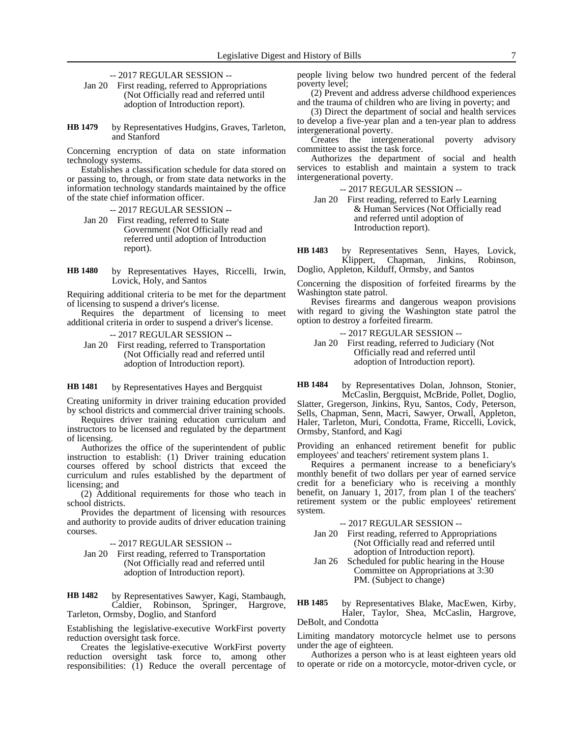-- 2017 REGULAR SESSION --

Jan 20 First reading, referred to Appropriations (Not Officially read and referred until adoption of Introduction report).

by Representatives Hudgins, Graves, Tarleton, and Stanford **HB 1479**

Concerning encryption of data on state information technology systems.

Establishes a classification schedule for data stored on or passing to, through, or from state data networks in the information technology standards maintained by the office of the state chief information officer.

-- 2017 REGULAR SESSION --

- Jan 20 First reading, referred to State Government (Not Officially read and referred until adoption of Introduction report).
- by Representatives Hayes, Riccelli, Irwin, Lovick, Holy, and Santos **HB 1480**

Requiring additional criteria to be met for the department of licensing to suspend a driver's license.

Requires the department of licensing to meet additional criteria in order to suspend a driver's license.

-- 2017 REGULAR SESSION --

Jan 20 First reading, referred to Transportation (Not Officially read and referred until adoption of Introduction report).

by Representatives Hayes and Bergquist **HB 1481**

Creating uniformity in driver training education provided by school districts and commercial driver training schools.

Requires driver training education curriculum and instructors to be licensed and regulated by the department of licensing.

Authorizes the office of the superintendent of public instruction to establish: (1) Driver training education courses offered by school districts that exceed the curriculum and rules established by the department of licensing; and

(2) Additional requirements for those who teach in school districts.

Provides the department of licensing with resources and authority to provide audits of driver education training courses.

-- 2017 REGULAR SESSION --

Jan 20 First reading, referred to Transportation (Not Officially read and referred until adoption of Introduction report).

by Representatives Sawyer, Kagi, Stambaugh, Caldier, Robinson, Springer, Hargrove, Tarleton, Ormsby, Doglio, and Stanford **HB 1482**

Establishing the legislative-executive WorkFirst poverty reduction oversight task force.

Creates the legislative-executive WorkFirst poverty reduction oversight task force to, among other responsibilities: (1) Reduce the overall percentage of people living below two hundred percent of the federal poverty level;

(2) Prevent and address adverse childhood experiences and the trauma of children who are living in poverty; and

(3) Direct the department of social and health services to develop a five-year plan and a ten-year plan to address intergenerational poverty.

Creates the intergenerational poverty advisory committee to assist the task force.

Authorizes the department of social and health services to establish and maintain a system to track intergenerational poverty.

-- 2017 REGULAR SESSION --

Jan 20 First reading, referred to Early Learning & Human Services (Not Officially read and referred until adoption of Introduction report).

by Representatives Senn, Hayes, Lovick, Klippert, Chapman, Jinkins, Robinson, Klippert, Chapman, Jinkins, **HB 1483**

Doglio, Appleton, Kilduff, Ormsby, and Santos

Concerning the disposition of forfeited firearms by the Washington state patrol.

Revises firearms and dangerous weapon provisions with regard to giving the Washington state patrol the option to destroy a forfeited firearm.

- -- 2017 REGULAR SESSION --
- Jan 20 First reading, referred to Judiciary (Not Officially read and referred until adoption of Introduction report).

by Representatives Dolan, Johnson, Stonier, McCaslin, Bergquist, McBride, Pollet, Doglio, Slatter, Gregerson, Jinkins, Ryu, Santos, Cody, Peterson, Sells, Chapman, Senn, Macri, Sawyer, Orwall, Appleton, Haler, Tarleton, Muri, Condotta, Frame, Riccelli, Lovick, Ormsby, Stanford, and Kagi **HB 1484**

Providing an enhanced retirement benefit for public employees' and teachers' retirement system plans 1.

Requires a permanent increase to a beneficiary's monthly benefit of two dollars per year of earned service credit for a beneficiary who is receiving a monthly benefit, on January 1, 2017, from plan 1 of the teachers' retirement system or the public employees' retirement system.

-- 2017 REGULAR SESSION --

- Jan 20 First reading, referred to Appropriations (Not Officially read and referred until adoption of Introduction report).
- Jan 26 Scheduled for public hearing in the House Committee on Appropriations at 3:30 PM. (Subject to change)
- by Representatives Blake, MacEwen, Kirby, Haler, Taylor, Shea, McCaslin, Hargrove, DeBolt, and Condotta **HB 1485**

Limiting mandatory motorcycle helmet use to persons under the age of eighteen.

Authorizes a person who is at least eighteen years old to operate or ride on a motorcycle, motor-driven cycle, or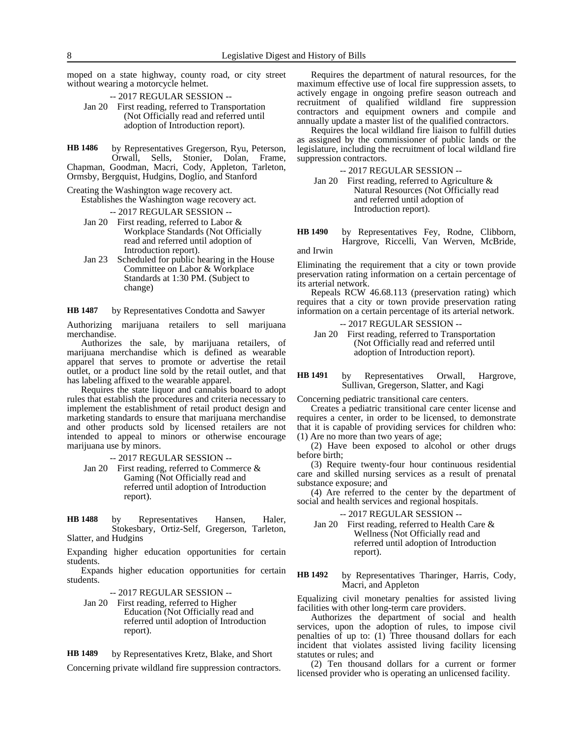moped on a state highway, county road, or city street without wearing a motorcycle helmet.

- -- 2017 REGULAR SESSION --
- Jan 20 First reading, referred to Transportation (Not Officially read and referred until adoption of Introduction report).

by Representatives Gregerson, Ryu, Peterson, Orwall, Sells, Stonier, Dolan, Frame, Chapman, Goodman, Macri, Cody, Appleton, Tarleton, Ormsby, Bergquist, Hudgins, Doglio, and Stanford **HB 1486**

Creating the Washington wage recovery act.

Establishes the Washington wage recovery act.

-- 2017 REGULAR SESSION --

- Jan 20 First reading, referred to Labor & Workplace Standards (Not Officially read and referred until adoption of Introduction report).
- Jan 23 Scheduled for public hearing in the House Committee on Labor & Workplace Standards at 1:30 PM. (Subject to change)

by Representatives Condotta and Sawyer **HB 1487**

Authorizing marijuana retailers to sell marijuana merchandise.

Authorizes the sale, by marijuana retailers, of marijuana merchandise which is defined as wearable apparel that serves to promote or advertise the retail outlet, or a product line sold by the retail outlet, and that has labeling affixed to the wearable apparel.

Requires the state liquor and cannabis board to adopt rules that establish the procedures and criteria necessary to implement the establishment of retail product design and marketing standards to ensure that marijuana merchandise and other products sold by licensed retailers are not intended to appeal to minors or otherwise encourage marijuana use by minors.

-- 2017 REGULAR SESSION --

Jan 20 First reading, referred to Commerce & Gaming (Not Officially read and referred until adoption of Introduction report).

by Representatives Hansen, Haler, Stokesbary, Ortiz-Self, Gregerson, Tarleton, Slatter, and Hudgins **HB 1488**

Expanding higher education opportunities for certain students.

Expands higher education opportunities for certain students.

-- 2017 REGULAR SESSION --

Jan 20 First reading, referred to Higher Education (Not Officially read and referred until adoption of Introduction report).

by Representatives Kretz, Blake, and Short **HB 1489**

Concerning private wildland fire suppression contractors.

Requires the department of natural resources, for the maximum effective use of local fire suppression assets, to actively engage in ongoing prefire season outreach and recruitment of qualified wildland fire suppression contractors and equipment owners and compile and annually update a master list of the qualified contractors.

Requires the local wildland fire liaison to fulfill duties as assigned by the commissioner of public lands or the legislature, including the recruitment of local wildland fire suppression contractors.

-- 2017 REGULAR SESSION --

Jan 20 First reading, referred to Agriculture & Natural Resources (Not Officially read and referred until adoption of Introduction report).

by Representatives Fey, Rodne, Clibborn, Hargrove, Riccelli, Van Werven, McBride, and Irwin **HB 1490**

Eliminating the requirement that a city or town provide preservation rating information on a certain percentage of its arterial network.

Repeals RCW 46.68.113 (preservation rating) which requires that a city or town provide preservation rating information on a certain percentage of its arterial network.

- -- 2017 REGULAR SESSION --
- Jan 20 First reading, referred to Transportation (Not Officially read and referred until adoption of Introduction report).

by Representatives Orwall, Hargrove, Sullivan, Gregerson, Slatter, and Kagi **HB 1491**

Concerning pediatric transitional care centers.

Creates a pediatric transitional care center license and requires a center, in order to be licensed, to demonstrate that it is capable of providing services for children who: (1) Are no more than two years of age;

(2) Have been exposed to alcohol or other drugs before birth;

(3) Require twenty-four hour continuous residential care and skilled nursing services as a result of prenatal substance exposure; and

(4) Are referred to the center by the department of social and health services and regional hospitals.

### -- 2017 REGULAR SESSION --

Jan 20 First reading, referred to Health Care & Wellness (Not Officially read and referred until adoption of Introduction report).

by Representatives Tharinger, Harris, Cody, Macri, and Appleton **HB 1492**

Equalizing civil monetary penalties for assisted living facilities with other long-term care providers.

Authorizes the department of social and health services, upon the adoption of rules, to impose civil penalties of up to: (1) Three thousand dollars for each incident that violates assisted living facility licensing statutes or rules; and

(2) Ten thousand dollars for a current or former licensed provider who is operating an unlicensed facility.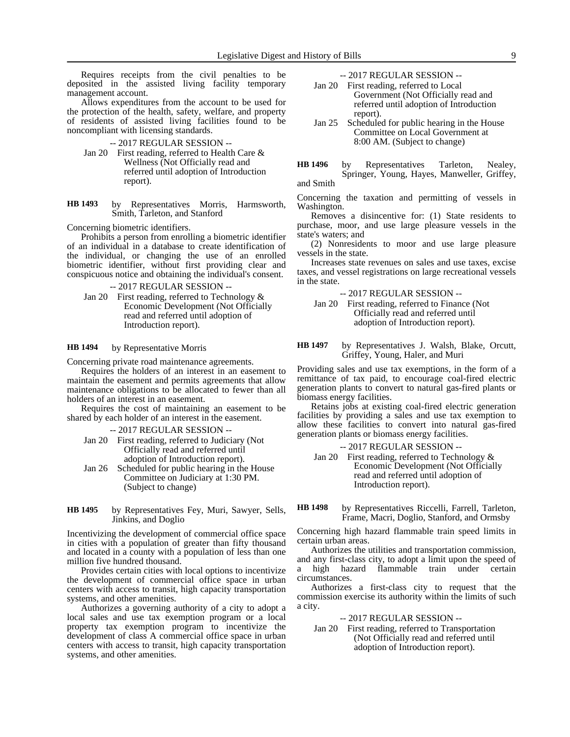Requires receipts from the civil penalties to be deposited in the assisted living facility temporary management account.

Allows expenditures from the account to be used for the protection of the health, safety, welfare, and property of residents of assisted living facilities found to be noncompliant with licensing standards.

-- 2017 REGULAR SESSION --

- Jan 20 First reading, referred to Health Care & Wellness (Not Officially read and referred until adoption of Introduction report).
- by Representatives Morris, Harmsworth, Smith, Tarleton, and Stanford **HB 1493**

Concerning biometric identifiers.

Prohibits a person from enrolling a biometric identifier of an individual in a database to create identification of the individual, or changing the use of an enrolled biometric identifier, without first providing clear and conspicuous notice and obtaining the individual's consent.

-- 2017 REGULAR SESSION --

Jan 20 First reading, referred to Technology & Economic Development (Not Officially read and referred until adoption of Introduction report).

#### by Representative Morris **HB 1494**

Concerning private road maintenance agreements.

Requires the holders of an interest in an easement to maintain the easement and permits agreements that allow maintenance obligations to be allocated to fewer than all holders of an interest in an easement.

Requires the cost of maintaining an easement to be shared by each holder of an interest in the easement.

-- 2017 REGULAR SESSION --

- Jan 20 First reading, referred to Judiciary (Not Officially read and referred until adoption of Introduction report).
- Jan 26 Scheduled for public hearing in the House Committee on Judiciary at 1:30 PM. (Subject to change)
- by Representatives Fey, Muri, Sawyer, Sells, Jinkins, and Doglio **HB 1495**

Incentivizing the development of commercial office space in cities with a population of greater than fifty thousand and located in a county with a population of less than one million five hundred thousand.

Provides certain cities with local options to incentivize the development of commercial office space in urban centers with access to transit, high capacity transportation systems, and other amenities.

Authorizes a governing authority of a city to adopt a local sales and use tax exemption program or a local property tax exemption program to incentivize the development of class A commercial office space in urban centers with access to transit, high capacity transportation systems, and other amenities.

-- 2017 REGULAR SESSION --

- Jan 20 First reading, referred to Local Government (Not Officially read and referred until adoption of Introduction report).
- Jan 25 Scheduled for public hearing in the House Committee on Local Government at 8:00 AM. (Subject to change)

by Representatives Tarleton, Nealey, Springer, Young, Hayes, Manweller, Griffey, and Smith **HB 1496**

Concerning the taxation and permitting of vessels in Washington.

Removes a disincentive for: (1) State residents to purchase, moor, and use large pleasure vessels in the state's waters; and

(2) Nonresidents to moor and use large pleasure vessels in the state.

Increases state revenues on sales and use taxes, excise taxes, and vessel registrations on large recreational vessels in the state.

-- 2017 REGULAR SESSION --

Jan 20 First reading, referred to Finance (Not Officially read and referred until adoption of Introduction report).

by Representatives J. Walsh, Blake, Orcutt, Griffey, Young, Haler, and Muri **HB 1497**

Providing sales and use tax exemptions, in the form of a remittance of tax paid, to encourage coal-fired electric generation plants to convert to natural gas-fired plants or biomass energy facilities.

Retains jobs at existing coal-fired electric generation facilities by providing a sales and use tax exemption to allow these facilities to convert into natural gas-fired generation plants or biomass energy facilities.

-- 2017 REGULAR SESSION --

- Jan 20 First reading, referred to Technology & Economic Development (Not Officially read and referred until adoption of Introduction report).
- by Representatives Riccelli, Farrell, Tarleton, Frame, Macri, Doglio, Stanford, and Ormsby **HB 1498**

Concerning high hazard flammable train speed limits in certain urban areas.

Authorizes the utilities and transportation commission, and any first-class city, to adopt a limit upon the speed of a high hazard flammable train under certain circumstances.

Authorizes a first-class city to request that the commission exercise its authority within the limits of such a city.

### -- 2017 REGULAR SESSION --

Jan 20 First reading, referred to Transportation (Not Officially read and referred until adoption of Introduction report).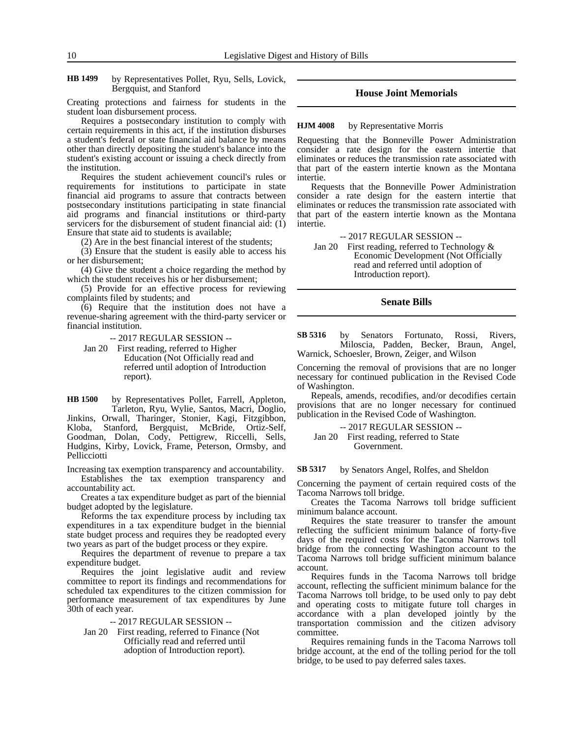by Representatives Pollet, Ryu, Sells, Lovick, Bergquist, and Stanford **HB 1499**

Creating protections and fairness for students in the student loan disbursement process.

Requires a postsecondary institution to comply with certain requirements in this act, if the institution disburses a student's federal or state financial aid balance by means other than directly depositing the student's balance into the student's existing account or issuing a check directly from the institution.

Requires the student achievement council's rules or requirements for institutions to participate in state financial aid programs to assure that contracts between postsecondary institutions participating in state financial aid programs and financial institutions or third-party servicers for the disbursement of student financial aid: (1) Ensure that state aid to students is available;

(2) Are in the best financial interest of the students;

(3) Ensure that the student is easily able to access his or her disbursement;

(4) Give the student a choice regarding the method by which the student receives his or her disbursement;

(5) Provide for an effective process for reviewing complaints filed by students; and

(6) Require that the institution does not have a revenue-sharing agreement with the third-party servicer or financial institution.

-- 2017 REGULAR SESSION --

Jan 20 First reading, referred to Higher Education (Not Officially read and referred until adoption of Introduction report).

by Representatives Pollet, Farrell, Appleton, Tarleton, Ryu, Wylie, Santos, Macri, Doglio, Jinkins, Orwall, Tharinger, Stonier, Kagi, Fitzgibbon, Kloba, Stanford, Bergquist, McBride, Ortiz-Self, Goodman, Dolan, Cody, Pettigrew, Riccelli, Sells, Hudgins, Kirby, Lovick, Frame, Peterson, Ormsby, and Pellicciotti **HB 1500**

Increasing tax exemption transparency and accountability. Establishes the tax exemption transparency and accountability act.

Creates a tax expenditure budget as part of the biennial budget adopted by the legislature.

Reforms the tax expenditure process by including tax expenditures in a tax expenditure budget in the biennial state budget process and requires they be readopted every two years as part of the budget process or they expire.

Requires the department of revenue to prepare a tax expenditure budget.

Requires the joint legislative audit and review committee to report its findings and recommendations for scheduled tax expenditures to the citizen commission for performance measurement of tax expenditures by June 30th of each year.

-- 2017 REGULAR SESSION --

Jan 20 First reading, referred to Finance (Not Officially read and referred until adoption of Introduction report).

### **House Joint Memorials**

#### by Representative Morris **HJM 4008**

Requesting that the Bonneville Power Administration consider a rate design for the eastern intertie that eliminates or reduces the transmission rate associated with that part of the eastern intertie known as the Montana intertie.

Requests that the Bonneville Power Administration consider a rate design for the eastern intertie that eliminates or reduces the transmission rate associated with that part of the eastern intertie known as the Montana intertie.

-- 2017 REGULAR SESSION --

Jan 20 First reading, referred to Technology & Economic Development (Not Officially read and referred until adoption of Introduction report).

### **Senate Bills**

by Senators Fortunato, Rossi, Rivers, Miloscia, Padden, Becker, Braun, Angel, Warnick, Schoesler, Brown, Zeiger, and Wilson **SB 5316**

Concerning the removal of provisions that are no longer necessary for continued publication in the Revised Code of Washington.

Repeals, amends, recodifies, and/or decodifies certain provisions that are no longer necessary for continued publication in the Revised Code of Washington.

-- 2017 REGULAR SESSION --

Jan 20 First reading, referred to State Government.

#### by Senators Angel, Rolfes, and Sheldon **SB 5317**

Concerning the payment of certain required costs of the Tacoma Narrows toll bridge.

Creates the Tacoma Narrows toll bridge sufficient minimum balance account.

Requires the state treasurer to transfer the amount reflecting the sufficient minimum balance of forty-five days of the required costs for the Tacoma Narrows toll bridge from the connecting Washington account to the Tacoma Narrows toll bridge sufficient minimum balance account.

Requires funds in the Tacoma Narrows toll bridge account, reflecting the sufficient minimum balance for the Tacoma Narrows toll bridge, to be used only to pay debt and operating costs to mitigate future toll charges in accordance with a plan developed jointly by the transportation commission and the citizen advisory committee.

Requires remaining funds in the Tacoma Narrows toll bridge account, at the end of the tolling period for the toll bridge, to be used to pay deferred sales taxes.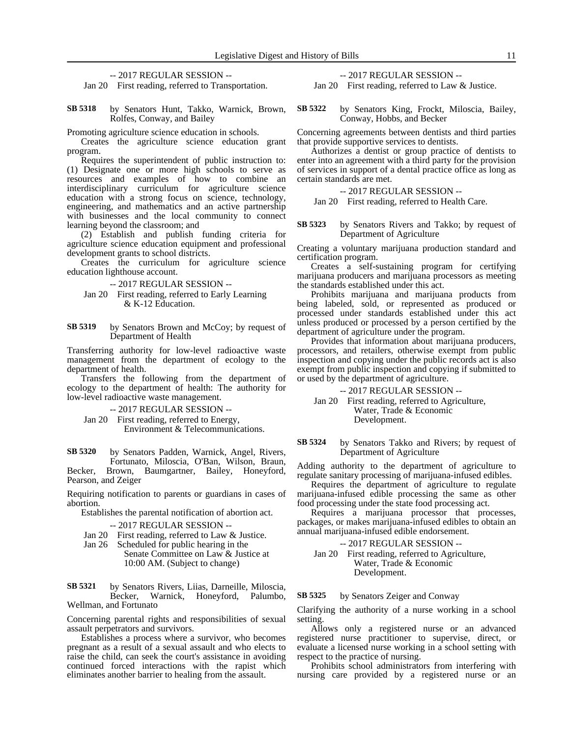-- 2017 REGULAR SESSION --

Jan 20 First reading, referred to Transportation.

by Senators Hunt, Takko, Warnick, Brown, Rolfes, Conway, and Bailey **SB 5318**

Promoting agriculture science education in schools.

Creates the agriculture science education grant program.

Requires the superintendent of public instruction to: (1) Designate one or more high schools to serve as resources and examples of how to combine an interdisciplinary curriculum for agriculture science education with a strong focus on science, technology, engineering, and mathematics and an active partnership with businesses and the local community to connect learning beyond the classroom; and

(2) Establish and publish funding criteria for agriculture science education equipment and professional development grants to school districts.

Creates the curriculum for agriculture science education lighthouse account.

- -- 2017 REGULAR SESSION --
- Jan 20 First reading, referred to Early Learning & K-12 Education.
- by Senators Brown and McCoy; by request of Department of Health **SB 5319**

Transferring authority for low-level radioactive waste management from the department of ecology to the department of health.

Transfers the following from the department of ecology to the department of health: The authority for low-level radioactive waste management.

- -- 2017 REGULAR SESSION --
- Jan 20 First reading, referred to Energy, Environment & Telecommunications.

by Senators Padden, Warnick, Angel, Rivers, Fortunato, Miloscia, O'Ban, Wilson, Braun, Becker, Brown, Baumgartner, Bailey, Honeyford, Pearson, and Zeiger **SB 5320**

Requiring notification to parents or guardians in cases of abortion.

Establishes the parental notification of abortion act.

- -- 2017 REGULAR SESSION --
- Jan 20 First reading, referred to Law & Justice.
- Jan 26 Scheduled for public hearing in the Senate Committee on Law & Justice at 10:00 AM. (Subject to change)

by Senators Rivers, Liias, Darneille, Miloscia, Becker, Warnick, Honeyford, Palumbo, Wellman, and Fortunato **SB 5321**

Concerning parental rights and responsibilities of sexual assault perpetrators and survivors.

Establishes a process where a survivor, who becomes pregnant as a result of a sexual assault and who elects to raise the child, can seek the court's assistance in avoiding continued forced interactions with the rapist which eliminates another barrier to healing from the assault.

-- 2017 REGULAR SESSION --

Jan 20 First reading, referred to Law & Justice.

by Senators King, Frockt, Miloscia, Bailey, Conway, Hobbs, and Becker **SB 5322**

Concerning agreements between dentists and third parties that provide supportive services to dentists.

Authorizes a dentist or group practice of dentists to enter into an agreement with a third party for the provision of services in support of a dental practice office as long as certain standards are met.

-- 2017 REGULAR SESSION --

Jan 20 First reading, referred to Health Care.

by Senators Rivers and Takko; by request of Department of Agriculture **SB 5323**

Creating a voluntary marijuana production standard and certification program.

Creates a self-sustaining program for certifying marijuana producers and marijuana processors as meeting the standards established under this act.

Prohibits marijuana and marijuana products from being labeled, sold, or represented as produced or processed under standards established under this act unless produced or processed by a person certified by the department of agriculture under the program.

Provides that information about marijuana producers, processors, and retailers, otherwise exempt from public inspection and copying under the public records act is also exempt from public inspection and copying if submitted to or used by the department of agriculture.

-- 2017 REGULAR SESSION --

Jan 20 First reading, referred to Agriculture, Water, Trade & Economic Development.

by Senators Takko and Rivers; by request of Department of Agriculture **SB 5324**

Adding authority to the department of agriculture to regulate sanitary processing of marijuana-infused edibles.

Requires the department of agriculture to regulate marijuana-infused edible processing the same as other food processing under the state food processing act.

Requires a marijuana processor that processes, packages, or makes marijuana-infused edibles to obtain an annual marijuana-infused edible endorsement.

-- 2017 REGULAR SESSION --

Jan 20 First reading, referred to Agriculture, Water, Trade & Economic Development.

#### by Senators Zeiger and Conway **SB 5325**

Clarifying the authority of a nurse working in a school setting.

Allows only a registered nurse or an advanced registered nurse practitioner to supervise, direct, or evaluate a licensed nurse working in a school setting with respect to the practice of nursing.

Prohibits school administrators from interfering with nursing care provided by a registered nurse or an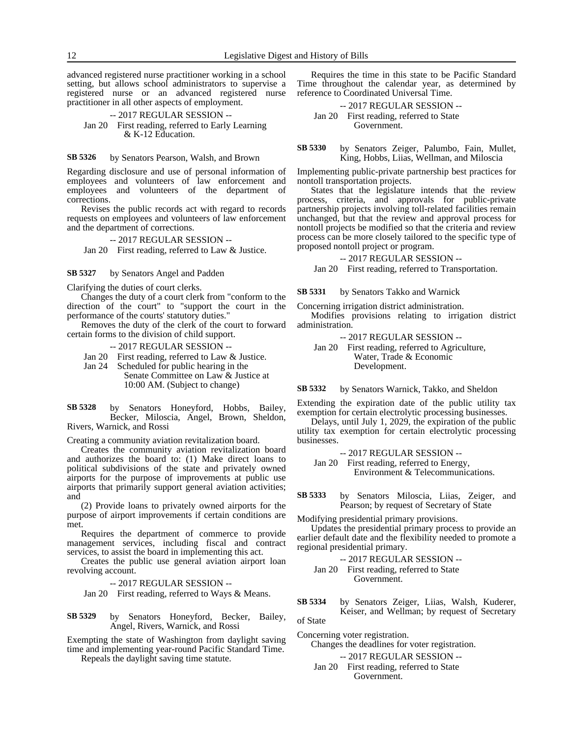advanced registered nurse practitioner working in a school setting, but allows school administrators to supervise a registered nurse or an advanced registered nurse practitioner in all other aspects of employment.

-- 2017 REGULAR SESSION -- Jan 20 First reading, referred to Early Learning & K-12 Education.

by Senators Pearson, Walsh, and Brown **SB 5326**

Regarding disclosure and use of personal information of employees and volunteers of law enforcement and employees and volunteers of the department of corrections.

Revises the public records act with regard to records requests on employees and volunteers of law enforcement and the department of corrections.

-- 2017 REGULAR SESSION --

Jan 20 First reading, referred to Law & Justice.

by Senators Angel and Padden **SB 5327**

Clarifying the duties of court clerks.

Changes the duty of a court clerk from "conform to the direction of the court" to "support the court in the performance of the courts' statutory duties."

Removes the duty of the clerk of the court to forward certain forms to the division of child support.

-- 2017 REGULAR SESSION --

- Jan 20 First reading, referred to Law & Justice.
- Jan 24 Scheduled for public hearing in the

Senate Committee on Law & Justice at 10:00 AM. (Subject to change)

by Senators Honeyford, Hobbs, Bailey, Becker, Miloscia, Angel, Brown, Sheldon, Rivers, Warnick, and Rossi **SB 5328**

Creating a community aviation revitalization board.

Creates the community aviation revitalization board and authorizes the board to: (1) Make direct loans to political subdivisions of the state and privately owned airports for the purpose of improvements at public use airports that primarily support general aviation activities; and

(2) Provide loans to privately owned airports for the purpose of airport improvements if certain conditions are met.

Requires the department of commerce to provide management services, including fiscal and contract services, to assist the board in implementing this act.

Creates the public use general aviation airport loan revolving account.

-- 2017 REGULAR SESSION --

Jan 20 First reading, referred to Ways & Means.

by Senators Honeyford, Becker, Bailey, Angel, Rivers, Warnick, and Rossi **SB 5329**

Exempting the state of Washington from daylight saving time and implementing year-round Pacific Standard Time.

Repeals the daylight saving time statute.

Requires the time in this state to be Pacific Standard Time throughout the calendar year, as determined by reference to Coordinated Universal Time.

-- 2017 REGULAR SESSION -- Jan 20 First reading, referred to State Government.

by Senators Zeiger, Palumbo, Fain, Mullet, King, Hobbs, Liias, Wellman, and Miloscia **SB 5330**

Implementing public-private partnership best practices for nontoll transportation projects.

States that the legislature intends that the review process, criteria, and approvals for public-private partnership projects involving toll-related facilities remain unchanged, but that the review and approval process for nontoll projects be modified so that the criteria and review process can be more closely tailored to the specific type of proposed nontoll project or program.

-- 2017 REGULAR SESSION --

Jan 20 First reading, referred to Transportation.

by Senators Takko and Warnick **SB 5331**

Concerning irrigation district administration.

Modifies provisions relating to irrigation district administration.

-- 2017 REGULAR SESSION --

Jan 20 First reading, referred to Agriculture, Water, Trade & Economic Development.

by Senators Warnick, Takko, and Sheldon **SB 5332**

Extending the expiration date of the public utility tax exemption for certain electrolytic processing businesses.

Delays, until July 1, 2029, the expiration of the public utility tax exemption for certain electrolytic processing businesses.

-- 2017 REGULAR SESSION --

Jan 20 First reading, referred to Energy, Environment & Telecommunications.

by Senators Miloscia, Liias, Zeiger, and Pearson; by request of Secretary of State **SB 5333**

Modifying presidential primary provisions.

Updates the presidential primary process to provide an earlier default date and the flexibility needed to promote a regional presidential primary.

-- 2017 REGULAR SESSION --

Jan 20 First reading, referred to State Government.

by Senators Zeiger, Liias, Walsh, Kuderer, Keiser, and Wellman; by request of Secretary of State **SB 5334**

Concerning voter registration.

Changes the deadlines for voter registration.

- -- 2017 REGULAR SESSION --
- Jan 20 First reading, referred to State Government.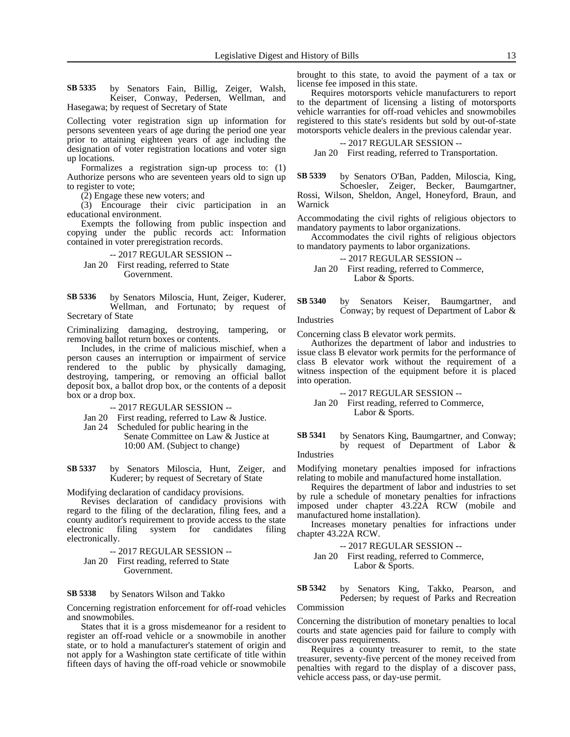by Senators Fain, Billig, Zeiger, Walsh, Keiser, Conway, Pedersen, Wellman, and Hasegawa; by request of Secretary of State **SB 5335**

Collecting voter registration sign up information for persons seventeen years of age during the period one year prior to attaining eighteen years of age including the designation of voter registration locations and voter sign up locations.

Formalizes a registration sign-up process to: (1) Authorize persons who are seventeen years old to sign up to register to vote;

(2) Engage these new voters; and

(3) Encourage their civic participation in an educational environment.

Exempts the following from public inspection and copying under the public records act: Information contained in voter preregistration records.

-- 2017 REGULAR SESSION --

Jan 20 First reading, referred to State Government.

by Senators Miloscia, Hunt, Zeiger, Kuderer, Wellman, and Fortunato; by request of Secretary of State **SB 5336**

Criminalizing damaging, destroying, tampering, or removing ballot return boxes or contents.

Includes, in the crime of malicious mischief, when a person causes an interruption or impairment of service rendered to the public by physically damaging, destroying, tampering, or removing an official ballot deposit box, a ballot drop box, or the contents of a deposit box or a drop box.

-- 2017 REGULAR SESSION --

- Jan 20 First reading, referred to Law & Justice.
- Jan 24 Scheduled for public hearing in the Senate Committee on Law & Justice at 10:00 AM. (Subject to change)

by Senators Miloscia, Hunt, Zeiger, and Kuderer; by request of Secretary of State **SB 5337**

Modifying declaration of candidacy provisions.

Revises declaration of candidacy provisions with regard to the filing of the declaration, filing fees, and a county auditor's requirement to provide access to the state electronic filing system for candidates filing electronically.

-- 2017 REGULAR SESSION --

Jan 20 First reading, referred to State Government.

#### by Senators Wilson and Takko **SB 5338**

Concerning registration enforcement for off-road vehicles and snowmobiles.

States that it is a gross misdemeanor for a resident to register an off-road vehicle or a snowmobile in another state, or to hold a manufacturer's statement of origin and not apply for a Washington state certificate of title within fifteen days of having the off-road vehicle or snowmobile brought to this state, to avoid the payment of a tax or license fee imposed in this state.

Requires motorsports vehicle manufacturers to report to the department of licensing a listing of motorsports vehicle warranties for off-road vehicles and snowmobiles registered to this state's residents but sold by out-of-state motorsports vehicle dealers in the previous calendar year.

### -- 2017 REGULAR SESSION --

Jan 20 First reading, referred to Transportation.

by Senators O'Ban, Padden, Miloscia, King, Schoesler, Zeiger, Becker, Baumgartner, Rossi, Wilson, Sheldon, Angel, Honeyford, Braun, and Warnick **SB 5339**

Accommodating the civil rights of religious objectors to mandatory payments to labor organizations.

Accommodates the civil rights of religious objectors to mandatory payments to labor organizations.

-- 2017 REGULAR SESSION --

Jan 20 First reading, referred to Commerce, Labor & Sports.

by Senators Keiser, Baumgartner, and Conway; by request of Department of Labor & Industries **SB 5340**

Concerning class B elevator work permits.

Authorizes the department of labor and industries to issue class B elevator work permits for the performance of class B elevator work without the requirement of a witness inspection of the equipment before it is placed into operation.

-- 2017 REGULAR SESSION --

Jan 20 First reading, referred to Commerce, Labor & Sports.

by Senators King, Baumgartner, and Conway; by request of Department of Labor & Industries **SB 5341**

Modifying monetary penalties imposed for infractions relating to mobile and manufactured home installation.

Requires the department of labor and industries to set by rule a schedule of monetary penalties for infractions imposed under chapter 43.22A RCW (mobile and manufactured home installation).

Increases monetary penalties for infractions under chapter 43.22A RCW.

-- 2017 REGULAR SESSION --

Jan 20 First reading, referred to Commerce, Labor & Sports.

by Senators King, Takko, Pearson, and Pedersen; by request of Parks and Recreation Commission **SB 5342**

Concerning the distribution of monetary penalties to local courts and state agencies paid for failure to comply with discover pass requirements.

Requires a county treasurer to remit, to the state treasurer, seventy-five percent of the money received from penalties with regard to the display of a discover pass, vehicle access pass, or day-use permit.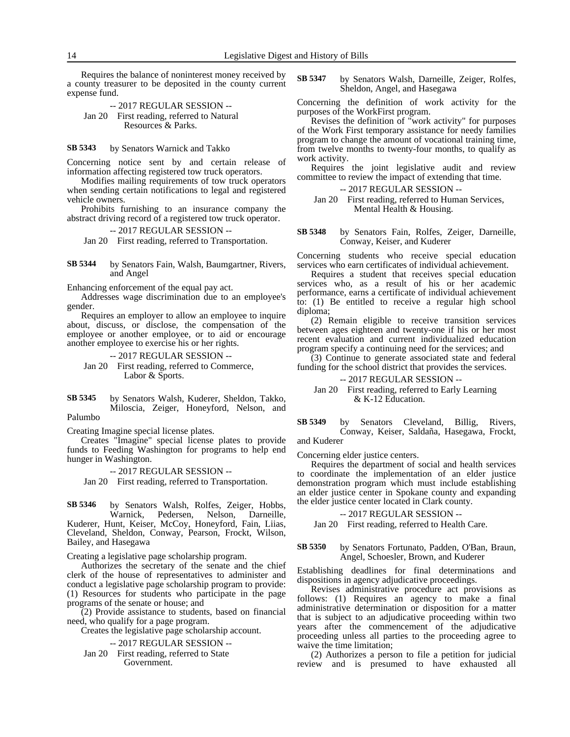Requires the balance of noninterest money received by a county treasurer to be deposited in the county current expense fund.

-- 2017 REGULAR SESSION -- Jan 20 First reading, referred to Natural Resources & Parks.

#### by Senators Warnick and Takko **SB 5343**

Concerning notice sent by and certain release of information affecting registered tow truck operators.

Modifies mailing requirements of tow truck operators when sending certain notifications to legal and registered vehicle owners.

Prohibits furnishing to an insurance company the abstract driving record of a registered tow truck operator.

-- 2017 REGULAR SESSION --

Jan 20 First reading, referred to Transportation.

by Senators Fain, Walsh, Baumgartner, Rivers, and Angel **SB 5344**

Enhancing enforcement of the equal pay act.

Addresses wage discrimination due to an employee's gender.

Requires an employer to allow an employee to inquire about, discuss, or disclose, the compensation of the employee or another employee, or to aid or encourage another employee to exercise his or her rights.

-- 2017 REGULAR SESSION -- Jan 20 First reading, referred to Commerce, Labor & Sports.

by Senators Walsh, Kuderer, Sheldon, Takko, Miloscia, Zeiger, Honeyford, Nelson, and Palumbo **SB 5345**

Creating Imagine special license plates.

Creates "Imagine" special license plates to provide funds to Feeding Washington for programs to help end hunger in Washington.

-- 2017 REGULAR SESSION --

Jan 20 First reading, referred to Transportation.

by Senators Walsh, Rolfes, Zeiger, Hobbs, Warnick, Pedersen, Nelson, Darneille, Pedersen, Nelson, Darneille, Kuderer, Hunt, Keiser, McCoy, Honeyford, Fain, Liias, Cleveland, Sheldon, Conway, Pearson, Frockt, Wilson, Bailey, and Hasegawa **SB 5346**

Creating a legislative page scholarship program.

Authorizes the secretary of the senate and the chief clerk of the house of representatives to administer and conduct a legislative page scholarship program to provide: (1) Resources for students who participate in the page programs of the senate or house; and

(2) Provide assistance to students, based on financial need, who qualify for a page program.

Creates the legislative page scholarship account.

-- 2017 REGULAR SESSION --

Jan 20 First reading, referred to State Government.

by Senators Walsh, Darneille, Zeiger, Rolfes, Sheldon, Angel, and Hasegawa **SB 5347**

Concerning the definition of work activity for the purposes of the WorkFirst program.

Revises the definition of "work activity" for purposes of the Work First temporary assistance for needy families program to change the amount of vocational training time, from twelve months to twenty-four months, to qualify as work activity.

Requires the joint legislative audit and review committee to review the impact of extending that time.

-- 2017 REGULAR SESSION --

Jan 20 First reading, referred to Human Services, Mental Health & Housing.

by Senators Fain, Rolfes, Zeiger, Darneille, Conway, Keiser, and Kuderer **SB 5348**

Concerning students who receive special education services who earn certificates of individual achievement.

Requires a student that receives special education services who, as a result of his or her academic performance, earns a certificate of individual achievement to: (1) Be entitled to receive a regular high school diploma;

(2) Remain eligible to receive transition services between ages eighteen and twenty-one if his or her most recent evaluation and current individualized education program specify a continuing need for the services; and

(3) Continue to generate associated state and federal funding for the school district that provides the services.

-- 2017 REGULAR SESSION --

Jan 20 First reading, referred to Early Learning & K-12 Education.

by Senators Cleveland, Billig, Rivers, Conway, Keiser, Saldaña, Hasegawa, Frockt, and Kuderer **SB 5349**

Concerning elder justice centers.

Requires the department of social and health services to coordinate the implementation of an elder justice demonstration program which must include establishing an elder justice center in Spokane county and expanding the elder justice center located in Clark county.

### -- 2017 REGULAR SESSION --

Jan 20 First reading, referred to Health Care.

### by Senators Fortunato, Padden, O'Ban, Braun, Angel, Schoesler, Brown, and Kuderer **SB 5350**

Establishing deadlines for final determinations and dispositions in agency adjudicative proceedings.

Revises administrative procedure act provisions as follows: (1) Requires an agency to make a final administrative determination or disposition for a matter that is subject to an adjudicative proceeding within two years after the commencement of the adjudicative proceeding unless all parties to the proceeding agree to waive the time limitation;

(2) Authorizes a person to file a petition for judicial review and is presumed to have exhausted all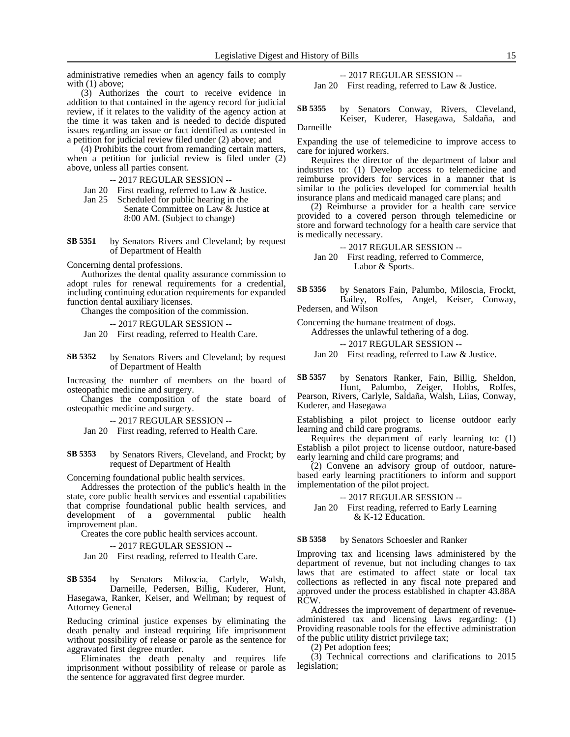administrative remedies when an agency fails to comply with  $(1)$  above;

(3) Authorizes the court to receive evidence in addition to that contained in the agency record for judicial review, if it relates to the validity of the agency action at the time it was taken and is needed to decide disputed issues regarding an issue or fact identified as contested in a petition for judicial review filed under (2) above; and

(4) Prohibits the court from remanding certain matters, when a petition for judicial review is filed under (2) above, unless all parties consent.

-- 2017 REGULAR SESSION --

Jan 20 First reading, referred to Law & Justice.

Jan 25 Scheduled for public hearing in the Senate Committee on Law & Justice at 8:00 AM. (Subject to change)

by Senators Rivers and Cleveland; by request of Department of Health **SB 5351**

Concerning dental professions.

Authorizes the dental quality assurance commission to adopt rules for renewal requirements for a credential, including continuing education requirements for expanded function dental auxiliary licenses.

Changes the composition of the commission.

-- 2017 REGULAR SESSION --

Jan 20 First reading, referred to Health Care.

by Senators Rivers and Cleveland; by request of Department of Health **SB 5352**

Increasing the number of members on the board of osteopathic medicine and surgery.

Changes the composition of the state board of osteopathic medicine and surgery.

-- 2017 REGULAR SESSION --

Jan 20 First reading, referred to Health Care.

by Senators Rivers, Cleveland, and Frockt; by request of Department of Health **SB 5353**

Concerning foundational public health services.

Addresses the protection of the public's health in the state, core public health services and essential capabilities that comprise foundational public health services, and development of a governmental public health improvement plan.

Creates the core public health services account.

-- 2017 REGULAR SESSION --

Jan 20 First reading, referred to Health Care.

by Senators Miloscia, Carlyle, Walsh, Darneille, Pedersen, Billig, Kuderer, Hunt, Hasegawa, Ranker, Keiser, and Wellman; by request of Attorney General **SB 5354**

Reducing criminal justice expenses by eliminating the death penalty and instead requiring life imprisonment without possibility of release or parole as the sentence for aggravated first degree murder.

Eliminates the death penalty and requires life imprisonment without possibility of release or parole as the sentence for aggravated first degree murder.

-- 2017 REGULAR SESSION -- Jan 20 First reading, referred to Law & Justice.

by Senators Conway, Rivers, Cleveland, Keiser, Kuderer, Hasegawa, Saldaña, and Darneille **SB 5355**

Expanding the use of telemedicine to improve access to care for injured workers.

Requires the director of the department of labor and industries to: (1) Develop access to telemedicine and reimburse providers for services in a manner that is similar to the policies developed for commercial health insurance plans and medicaid managed care plans; and

(2) Reimburse a provider for a health care service provided to a covered person through telemedicine or store and forward technology for a health care service that is medically necessary.

-- 2017 REGULAR SESSION --

Jan 20 First reading, referred to Commerce, Labor & Sports.

by Senators Fain, Palumbo, Miloscia, Frockt, Bailey, Rolfes, Angel, Keiser, Conway, Pedersen, and Wilson **SB 5356**

Concerning the humane treatment of dogs.

Addresses the unlawful tethering of a dog.

-- 2017 REGULAR SESSION --

Jan 20 First reading, referred to Law & Justice.

by Senators Ranker, Fain, Billig, Sheldon, Hunt, Palumbo, Zeiger, Hobbs, Rolfes, **SB 5357**

Pearson, Rivers, Carlyle, Saldaña, Walsh, Liias, Conway, Kuderer, and Hasegawa

Establishing a pilot project to license outdoor early learning and child care programs.

Requires the department of early learning to: (1) Establish a pilot project to license outdoor, nature-based early learning and child care programs; and

(2) Convene an advisory group of outdoor, naturebased early learning practitioners to inform and support implementation of the pilot project.

### -- 2017 REGULAR SESSION --

Jan 20 First reading, referred to Early Learning & K-12 Education.

by Senators Schoesler and Ranker **SB 5358**

Improving tax and licensing laws administered by the department of revenue, but not including changes to tax laws that are estimated to affect state or local tax collections as reflected in any fiscal note prepared and approved under the process established in chapter 43.88A RCW.

Addresses the improvement of department of revenueadministered tax and licensing laws regarding: (1) Providing reasonable tools for the effective administration of the public utility district privilege tax;

(2) Pet adoption fees;

(3) Technical corrections and clarifications to 2015 legislation;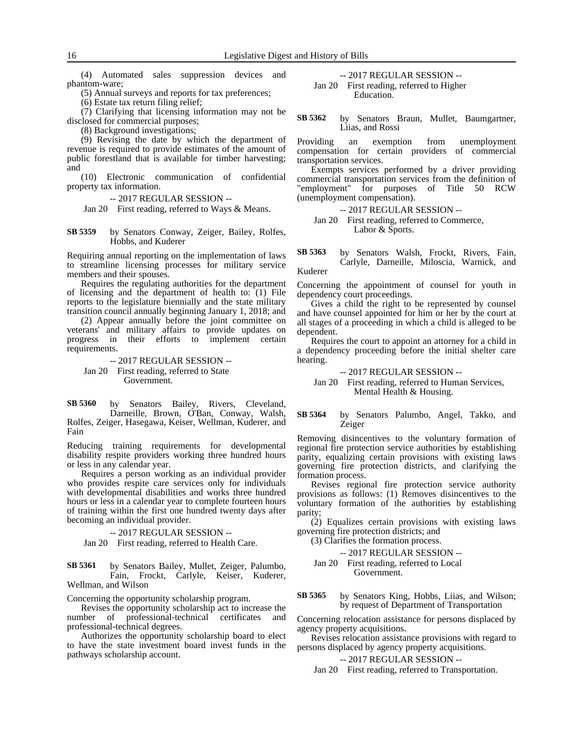(4) Automated sales suppression devices and phantom-ware;

(5) Annual surveys and reports for tax preferences;

(6) Estate tax return filing relief;

(7) Clarifying that licensing information may not be disclosed for commercial purposes;

(8) Background investigations;

(9) Revising the date by which the department of revenue is required to provide estimates of the amount of public forestland that is available for timber harvesting; and

(10) Electronic communication of confidential property tax information.

-- 2017 REGULAR SESSION --

Jan 20 First reading, referred to Ways & Means.

by Senators Conway, Zeiger, Bailey, Rolfes, Hobbs, and Kuderer **SB 5359**

Requiring annual reporting on the implementation of laws to streamline licensing processes for military service members and their spouses.

Requires the regulating authorities for the department of licensing and the department of health to: (1) File reports to the legislature biennially and the state military transition council annually beginning January 1, 2018; and

(2) Appear annually before the joint committee on veterans' and military affairs to provide updates on progress in their efforts to implement certain requirements.

-- 2017 REGULAR SESSION -- Jan 20 First reading, referred to State Government.

by Senators Bailey, Rivers, Cleveland, Darneille, Brown, O'Ban, Conway, Walsh, Rolfes, Zeiger, Hasegawa, Keiser, Wellman, Kuderer, and Fain **SB 5360**

Reducing training requirements for developmental disability respite providers working three hundred hours or less in any calendar year.

Requires a person working as an individual provider who provides respite care services only for individuals with developmental disabilities and works three hundred hours or less in a calendar year to complete fourteen hours of training within the first one hundred twenty days after becoming an individual provider.

-- 2017 REGULAR SESSION --

Jan 20 First reading, referred to Health Care.

by Senators Bailey, Mullet, Zeiger, Palumbo, Fain, Frockt, Carlyle, Keiser, Kuderer, Wellman, and Wilson **SB 5361**

Concerning the opportunity scholarship program.

Revises the opportunity scholarship act to increase the number of professional-technical certificates and professional-technical degrees.

Authorizes the opportunity scholarship board to elect to have the state investment board invest funds in the pathways scholarship account.

-- 2017 REGULAR SESSION --

Jan 20 First reading, referred to Higher Education.

by Senators Braun, Mullet, Baumgartner, Liias, and Rossi **SB 5362**

Providing an exemption from unemployment compensation for certain providers of commercial transportation services.

Exempts services performed by a driver providing commercial transportation services from the definition of "employment" for purposes of Title 50 RCW (unemployment compensation).

- -- 2017 REGULAR SESSION --
- Jan 20 First reading, referred to Commerce, Labor & Sports.

by Senators Walsh, Frockt, Rivers, Fain, Carlyle, Darneille, Miloscia, Warnick, and Kuderer **SB 5363**

Concerning the appointment of counsel for youth in dependency court proceedings.

Gives a child the right to be represented by counsel and have counsel appointed for him or her by the court at all stages of a proceeding in which a child is alleged to be dependent.

Requires the court to appoint an attorney for a child in a dependency proceeding before the initial shelter care hearing.

-- 2017 REGULAR SESSION --

Jan 20 First reading, referred to Human Services, Mental Health & Housing.

by Senators Palumbo, Angel, Takko, and Zeiger **SB 5364**

Removing disincentives to the voluntary formation of regional fire protection service authorities by establishing parity, equalizing certain provisions with existing laws governing fire protection districts, and clarifying the formation process.

Revises regional fire protection service authority provisions as follows: (1) Removes disincentives to the voluntary formation of the authorities by establishing parity;

(2) Equalizes certain provisions with existing laws governing fire protection districts; and

(3) Clarifies the formation process.

-- 2017 REGULAR SESSION --

Jan 20 First reading, referred to Local Government.

by Senators King, Hobbs, Liias, and Wilson; by request of Department of Transportation **SB 5365**

Concerning relocation assistance for persons displaced by agency property acquisitions.

Revises relocation assistance provisions with regard to persons displaced by agency property acquisitions.

### -- 2017 REGULAR SESSION --

Jan 20 First reading, referred to Transportation.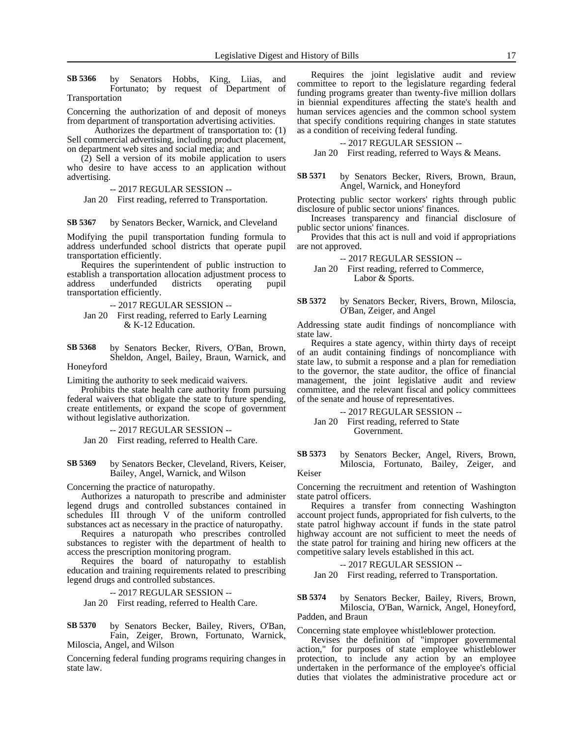by Senators Hobbs, King, Liias, and Fortunato; by request of Department of Transportation **SB 5366**

Concerning the authorization of and deposit of moneys from department of transportation advertising activities.

Authorizes the department of transportation to: (1) Sell commercial advertising, including product placement, on department web sites and social media; and

(2) Sell a version of its mobile application to users who desire to have access to an application without advertising.

-- 2017 REGULAR SESSION --

Jan 20 First reading, referred to Transportation.

by Senators Becker, Warnick, and Cleveland **SB 5367**

Modifying the pupil transportation funding formula to address underfunded school districts that operate pupil transportation efficiently.

Requires the superintendent of public instruction to establish a transportation allocation adjustment process to address underfunded districts operating pupil transportation efficiently.

-- 2017 REGULAR SESSION --

Jan 20 First reading, referred to Early Learning & K-12 Education.

by Senators Becker, Rivers, O'Ban, Brown, Sheldon, Angel, Bailey, Braun, Warnick, and **SB 5368**

Honeyford

Limiting the authority to seek medicaid waivers.

Prohibits the state health care authority from pursuing federal waivers that obligate the state to future spending, create entitlements, or expand the scope of government without legislative authorization.

### -- 2017 REGULAR SESSION --

Jan 20 First reading, referred to Health Care.

by Senators Becker, Cleveland, Rivers, Keiser, Bailey, Angel, Warnick, and Wilson **SB 5369**

Concerning the practice of naturopathy.

Authorizes a naturopath to prescribe and administer legend drugs and controlled substances contained in schedules III through V of the uniform controlled substances act as necessary in the practice of naturopathy.

Requires a naturopath who prescribes controlled substances to register with the department of health to access the prescription monitoring program.

Requires the board of naturopathy to establish education and training requirements related to prescribing legend drugs and controlled substances.

-- 2017 REGULAR SESSION --

Jan 20 First reading, referred to Health Care.

by Senators Becker, Bailey, Rivers, O'Ban, Fain, Zeiger, Brown, Fortunato, Warnick, Miloscia, Angel, and Wilson **SB 5370**

Concerning federal funding programs requiring changes in state law.

Requires the joint legislative audit and review committee to report to the legislature regarding federal funding programs greater than twenty-five million dollars in biennial expenditures affecting the state's health and human services agencies and the common school system that specify conditions requiring changes in state statutes as a condition of receiving federal funding.

### -- 2017 REGULAR SESSION --

Jan 20 First reading, referred to Ways & Means.

by Senators Becker, Rivers, Brown, Braun, Angel, Warnick, and Honeyford **SB 5371**

Protecting public sector workers' rights through public disclosure of public sector unions' finances.

Increases transparency and financial disclosure of public sector unions' finances.

Provides that this act is null and void if appropriations are not approved.

-- 2017 REGULAR SESSION --

Jan 20 First reading, referred to Commerce, Labor & Sports.

by Senators Becker, Rivers, Brown, Miloscia, O'Ban, Zeiger, and Angel **SB 5372**

Addressing state audit findings of noncompliance with state law.

Requires a state agency, within thirty days of receipt of an audit containing findings of noncompliance with state law, to submit a response and a plan for remediation to the governor, the state auditor, the office of financial management, the joint legislative audit and review committee, and the relevant fiscal and policy committees of the senate and house of representatives.

-- 2017 REGULAR SESSION --

Jan 20 First reading, referred to State Government.

by Senators Becker, Angel, Rivers, Brown, Miloscia, Fortunato, Bailey, Zeiger, and Keiser **SB 5373**

Concerning the recruitment and retention of Washington state patrol officers.

Requires a transfer from connecting Washington account project funds, appropriated for fish culverts, to the state patrol highway account if funds in the state patrol highway account are not sufficient to meet the needs of the state patrol for training and hiring new officers at the competitive salary levels established in this act.

-- 2017 REGULAR SESSION --

Jan 20 First reading, referred to Transportation.

by Senators Becker, Bailey, Rivers, Brown, Miloscia, O'Ban, Warnick, Angel, Honeyford, Padden, and Braun **SB 5374**

Concerning state employee whistleblower protection.

Revises the definition of "improper governmental action," for purposes of state employee whistleblower protection, to include any action by an employee undertaken in the performance of the employee's official duties that violates the administrative procedure act or